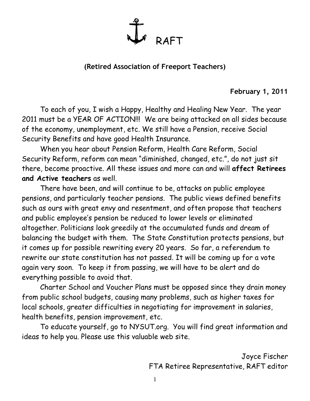

## **(Retired Association of Freeport Teachers)**

## **February 1, 2011**

To each of you, I wish a Happy, Healthy and Healing New Year. The year 2011 must be a YEAR OF ACTION!!! We are being attacked on all sides because of the economy, unemployment, etc. We still have a Pension, receive Social Security Benefits and have good Health Insurance.

When you hear about Pension Reform, Health Care Reform, Social Security Reform, reform can mean "diminished, changed, etc.", do not just sit there, become proactive. All these issues and more can and will **affect Retirees and Active teachers** as well.

There have been, and will continue to be, attacks on public employee pensions, and particularly teacher pensions. The public views defined benefits such as ours with great envy and resentment, and often propose that teachers and public employee's pension be reduced to lower levels or eliminated altogether. Politicians look greedily at the accumulated funds and dream of balancing the budget with them. The State Constitution protects pensions, but it comes up for possible rewriting every 20 years. So far, a referendum to rewrite our state constitution has not passed. It will be coming up for a vote again very soon. To keep it from passing, we will have to be alert and do everything possible to avoid that.

Charter School and Voucher Plans must be opposed since they drain money from public school budgets, causing many problems, such as higher taxes for local schools, greater difficulties in negotiating for improvement in salaries, health benefits, pension improvement, etc.

To educate yourself, go to NYSUT.org. You will find great information and ideas to help you. Please use this valuable web site.

> Joyce Fischer FTA Retiree Representative, RAFT editor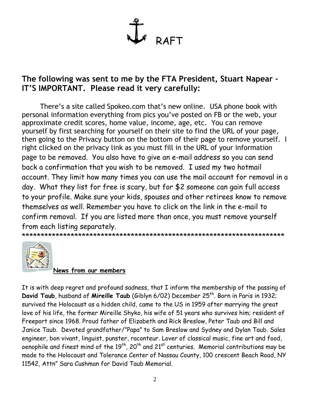

# **The following was sent to me by the FTA President, Stuart Napear – IT'S IMPORTANT. Please read it very carefully:**

There's a site called Spokeo.com that's new online. USA phone book with personal information everything from pics you've posted on FB or the web, your approximate credit scores, home value, income, age, etc. You can remove yourself by first searching for yourself on their site to find the URL of your page, then going to the Privacy button on the bottom of their page to remove yourself. I right clicked on the privacy link as you must fill in the URL of your information page to be removed. You also have to give an e-mail address so you can send back a confirmation that you wish to be removed. I used my two hotmail account. They limit how many times you can use the mail account for removal in a day. What they list for free is scary, but for \$2 someone can gain full access to your profile. Make sure your kids, spouses and other retirees know to remove themselves as well. Remember you have to click on the link in the e-mail to confirm removal. If you are listed more than once, you must remove yourself from each listing separately.

\*\*\*\*\*\*\*\*\*\*\*\*\*\*\*\*\*\*\*\*\*\*\*\*\*\*\*\*\*\*\*\*\*\*\*\*\*\*\*\*\*\*\*\*\*\*\*\*\*\*\*\*\*\*\*\*\*\*\*\*\*\*\*\*\*\*\*\*\*\*



#### **News from our members**

It is with deep regret and profound sadness, that I inform the membership of the passing of **David Taub**, husband of **Mireille Taub** (Giblyn 6/02) December 25<sup>th</sup>. Born in Paris in 1932; survived the Holocaust as a hidden child, came to the US in 1959 after marrying the great love of his life, the former Mireille Shyko, his wife of 51 years who survives him; resident of Freeport since 1968. Proud father of Elizabeth and Rick Breslow, Peter Taub and Bill and Janice Taub. Devoted grandfather/"Papa" to Sam Breslow and Sydney and Dylan Taub. Sales engineer, bon vivant, linguist, punster, raconteur. Lover of classical music, fine art and food, oenophile and finest mind of the  $19^{th}$ , 20<sup>th</sup> and 21<sup>st</sup> centuries. Memorial contributions may be made to the Holocaust and Tolerance Center of Nassau County, 100 crescent Beach Road, NY 11542, Attn" Sara Cushman for David Taub Memorial.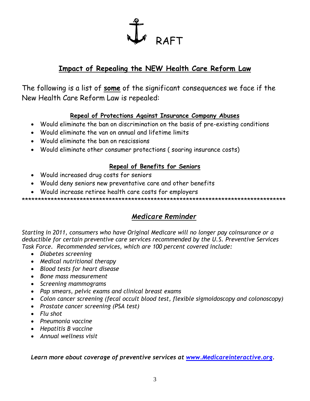

# Impact of Repealing the NEW Health Care Reform Law

The following is a list of some of the significant consequences we face if the New Health Care Reform Law is repealed:

## Repeal of Protections Against Insurance Company Abuses

- Would eliminate the ban on discrimination on the basis of pre-existing conditions
- Would eliminate the van on annual and lifetime limits
- Would eliminate the ban on rescissions
- Would eliminate other consumer protections (soaring insurance costs)

## Repeal of Benefits for Seniors

- Would increased drug costs for seniors
- Would deny seniors new preventative care and other benefits
- Would increase retiree health care costs for employers

## **Medicare Reminder**

Starting in 2011, consumers who have Original Medicare will no longer pay coinsurance or a deductible for certain preventive care services recommended by the U.S. Preventive Services Task Force. Recommended services, which are 100 percent covered include:

- Diabetes screening
- Medical nutritional therapy
- Blood tests for heart disease
- Bone mass measurement
- Screening mammograms
- Pap smears, pelvic exams and clinical breast exams
- Colon cancer screening (fecal occult blood test, flexible sigmoidoscopy and colonoscopy)
- Prostate cancer screening (PSA test)
- $\bullet$  Flu shot
- Pneumonia vaccine
- Hepatitis B vaccine
- Annual wellness visit

Learn more about coverage of preventive services at www.Medicareinteractive.org.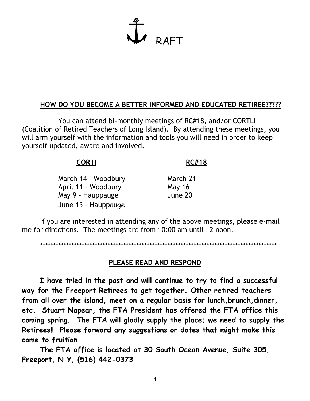# RAFT

## **HOW DO YOU BECOME A BETTER INFORMED AND EDUCATED RETIREE?????**

You can attend bi-monthly meetings of RC#18, and/or CORTLI (Coalition of Retired Teachers of Long Island). By attending these meetings, you will arm yourself with the information and tools you will need in order to keep yourself updated, aware and involved.

### **CORTI RC#18**

| March 14 - Woodbury | March 21      |
|---------------------|---------------|
| April 11 - Woodbury | <b>May 16</b> |
| May 9 - Hauppauge   | June 20       |
| June 13 - Hauppauge |               |

If you are interested in attending any of the above meetings, please e-mail me for directions. The meetings are from 10:00 am until 12 noon.

\*\*\*\*\*\*\*\*\*\*\*\*\*\*\*\*\*\*\*\*\*\*\*\*\*\*\*\*\*\*\*\*\*\*\*\*\*\*\*\*\*\*\*\*\*\*\*\*\*\*\*\*\*\*\*\*\*\*\*\*\*\*\*\*\*\*\*\*\*\*\*\*\*\*\*\*\*\*\*\*\*\*\*\*\*\*\*\*\*\*\*

## **PLEASE READ AND RESPOND**

**I have tried in the past and will continue to try to find a successful way for the Freeport Retirees to get together. Other retired teachers from all over the island, meet on a regular basis for lunch,brunch,dinner, etc. Stuart Napear, the FTA President has offered the FTA office this coming spring. The FTA will gladly supply the place; we need to supply the Retirees!! Please forward any suggestions or dates that might make this come to fruition.**

**The FTA office is located at 30 South Ocean Avenue, Suite 305, Freeport, N Y, (516) 442-0373**